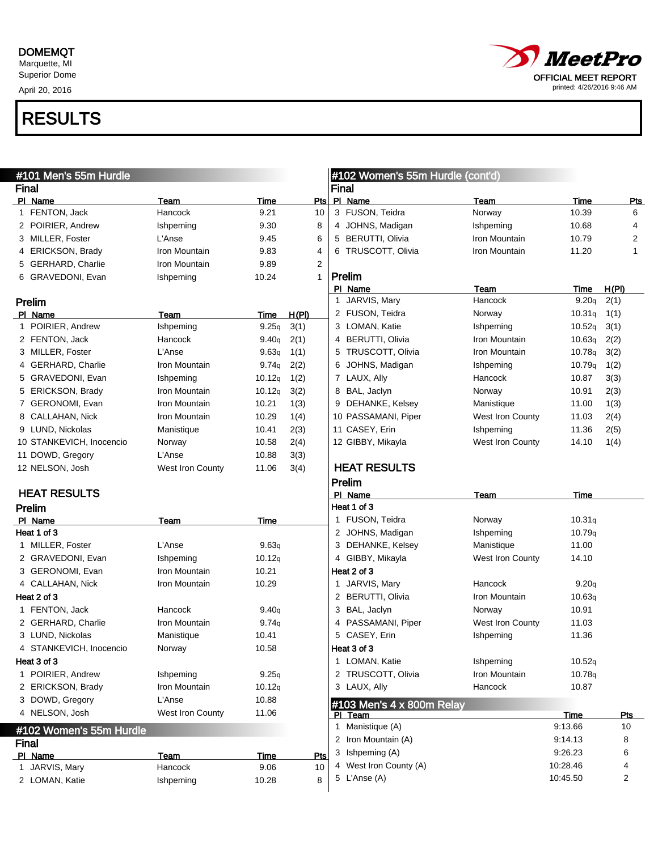#### DOMEMQT

Marquette, MI Superior Dome

April 20, 2016



| #101 Men's 55m Hurdle |                          |                  |        |                |              | #102 Women's 55m Hurdle (cont'd) |                  |          |            |  |
|-----------------------|--------------------------|------------------|--------|----------------|--------------|----------------------------------|------------------|----------|------------|--|
| <b>Final</b>          |                          |                  |        |                | <b>Final</b> |                                  |                  |          |            |  |
|                       | PI Name                  | Team             | Time   | Pts            |              | PI Name                          | Team             | Time     | <u>Pts</u> |  |
|                       | 1 FENTON, Jack           | Hancock          | 9.21   | 10             |              | 3 FUSON, Teidra                  | Norway           | 10.39    | 6          |  |
|                       | 2 POIRIER, Andrew        | Ishpeming        | 9.30   | 8              |              | 4 JOHNS, Madigan                 | Ishpeming        | 10.68    | 4          |  |
|                       | 3 MILLER, Foster         | L'Anse           | 9.45   | 6              |              | 5 BERUTTI, Olivia                | Iron Mountain    | 10.79    | 2          |  |
|                       | 4 ERICKSON, Brady        | Iron Mountain    | 9.83   | 4              |              | 6 TRUSCOTT, Olivia               | Iron Mountain    | 11.20    | 1          |  |
| 5                     | <b>GERHARD, Charlie</b>  | Iron Mountain    | 9.89   | $\overline{2}$ |              |                                  |                  |          |            |  |
|                       | 6 GRAVEDONI, Evan        | Ishpeming        | 10.24  | 1              |              | Prelim                           |                  |          |            |  |
|                       |                          |                  |        |                |              | PI_Name                          | Team             | Time     | H(PI)      |  |
|                       | Prelim                   |                  |        |                |              | 1 JARVIS, Mary                   | Hancock          | 9.20q    | 2(1)       |  |
|                       | PI Name                  | Team             | Time   | <u>H(PI)</u>   |              | 2 FUSON, Teidra                  | Norway           | 10.31q   | 1(1)       |  |
|                       | 1 POIRIER, Andrew        | Ishpeming        | 9.25q  | 3(1)           |              | 3 LOMAN, Katie                   | Ishpeming        | 10.52q   | 3(1)       |  |
|                       | 2 FENTON, Jack           | Hancock          | 9.40q  | 2(1)           | 4            | <b>BERUTTI, Olivia</b>           | Iron Mountain    | 10.63q   | 2(2)       |  |
|                       | 3 MILLER, Foster         | L'Anse           | 9.63q  | 1(1)           | 5            | TRUSCOTT, Olivia                 | Iron Mountain    | 10.78q   | 3(2)       |  |
|                       | 4 GERHARD, Charlie       | Iron Mountain    | 9.74q  | 2(2)           | 6            | JOHNS, Madigan                   | Ishpeming        | 10.79q   | 1(2)       |  |
|                       | 5 GRAVEDONI, Evan        | Ishpeming        | 10.12q | 1(2)           |              | 7 LAUX, Ally                     | Hancock          | 10.87    | 3(3)       |  |
|                       | 5 ERICKSON, Brady        | Iron Mountain    | 10.12q | 3(2)           | 8            | BAL, Jaclyn                      | Norway           | 10.91    | 2(3)       |  |
|                       | 7 GERONOMI, Evan         | Iron Mountain    | 10.21  | 1(3)           | 9            | DEHANKE, Kelsey                  | Manistique       | 11.00    | 1(3)       |  |
|                       | 8 CALLAHAN, Nick         | Iron Mountain    | 10.29  | 1(4)           |              | 10 PASSAMANI, Piper              | West Iron County | 11.03    | 2(4)       |  |
|                       | 9 LUND, Nickolas         | Manistique       | 10.41  | 2(3)           |              | 11 CASEY, Erin                   | Ishpeming        | 11.36    | 2(5)       |  |
|                       | 10 STANKEVICH, Inocencio | Norway           | 10.58  | 2(4)           |              | 12 GIBBY, Mikayla                | West Iron County | 14.10    | 1(4)       |  |
|                       | 11 DOWD, Gregory         | L'Anse           | 10.88  | 3(3)           |              |                                  |                  |          |            |  |
|                       | 12 NELSON, Josh          | West Iron County | 11.06  | 3(4)           |              | <b>HEAT RESULTS</b>              |                  |          |            |  |
|                       |                          |                  |        |                |              | Prelim                           |                  |          |            |  |
|                       | <b>HEAT RESULTS</b>      |                  |        |                |              | PI Name                          | Team             | Time     |            |  |
|                       |                          |                  |        |                |              |                                  |                  |          |            |  |
|                       |                          |                  |        |                |              | Heat 1 of 3                      |                  |          |            |  |
|                       | Prelim                   |                  |        |                |              |                                  |                  |          |            |  |
|                       | PI Name<br>Heat 1 of 3   | Team             | Time   |                |              | 1 FUSON, Teidra                  | Norway           | 10.31q   |            |  |
|                       |                          |                  |        |                |              | 2 JOHNS, Madigan                 | Ishpeming        | 10.79q   |            |  |
|                       | 1 MILLER, Foster         | L'Anse           | 9.63q  |                | 3            | DEHANKE, Kelsey                  | Manistique       | 11.00    |            |  |
|                       | 2 GRAVEDONI, Evan        | Ishpeming        | 10.12q |                |              | 4 GIBBY, Mikayla                 | West Iron County | 14.10    |            |  |
|                       | 3 GERONOMI, Evan         | Iron Mountain    | 10.21  |                |              | Heat 2 of 3                      |                  |          |            |  |
|                       | 4 CALLAHAN, Nick         | Iron Mountain    | 10.29  |                |              | 1 JARVIS, Mary                   | Hancock          | 9.20q    |            |  |
|                       | Heat 2 of 3              |                  |        |                |              | 2 BERUTTI, Olivia                | Iron Mountain    | 10.63q   |            |  |
|                       | 1 FENTON, Jack           | Hancock          | 9.40q  |                | 3            | BAL, Jaclyn                      | Norway           | 10.91    |            |  |
|                       | 2 GERHARD, Charlie       | Iron Mountain    | 9.74q  |                | 4            | PASSAMANI, Piper                 | West Iron County | 11.03    |            |  |
|                       | 3 LUND, Nickolas         | Manistique       | 10.41  |                |              | 5 CASEY, Erin                    | Ishpeming        | 11.36    |            |  |
|                       | 4 STANKEVICH, Inocencio  | Norway           | 10.58  |                |              | Heat 3 of 3                      |                  |          |            |  |
|                       | Heat 3 of 3              |                  |        |                |              | 1 LOMAN, Katie                   | Ishpeming        | 10.52q   |            |  |
|                       | 1 POIRIER, Andrew        | Ishpeming        | 9.25q  |                |              | 2 TRUSCOTT, Olivia               | Iron Mountain    | 10.78q   |            |  |
|                       | 2 ERICKSON, Brady        | Iron Mountain    | 10.12q |                |              | 3 LAUX, Ally                     | Hancock          | 10.87    |            |  |
|                       | 3 DOWD, Gregory          | L'Anse           | 10.88  |                |              | #103 Men's 4 x 800m Relay        |                  |          |            |  |
|                       | 4 NELSON, Josh           | West Iron County | 11.06  |                |              | PI Team                          |                  | Time     | Pts        |  |
|                       | #102 Women's 55m Hurdle  |                  |        |                |              | 1 Manistique (A)                 |                  | 9:13.66  | 10         |  |
| <b>Final</b>          |                          |                  |        |                |              | 2 Iron Mountain (A)              |                  | 9:14.13  | 8          |  |
|                       | PI Name                  | Team             | Time   | Pts            |              | 3 Ishpeming (A)                  |                  | 9:26.23  | 6          |  |
|                       | 1 JARVIS, Mary           | Hancock          | 9.06   | 10             |              | 4 West Iron County (A)           |                  | 10:28.46 | 4          |  |
|                       | 2 LOMAN, Katie           | Ishpeming        | 10.28  | 8              |              | 5 L'Anse (A)                     |                  | 10:45.50 | 2          |  |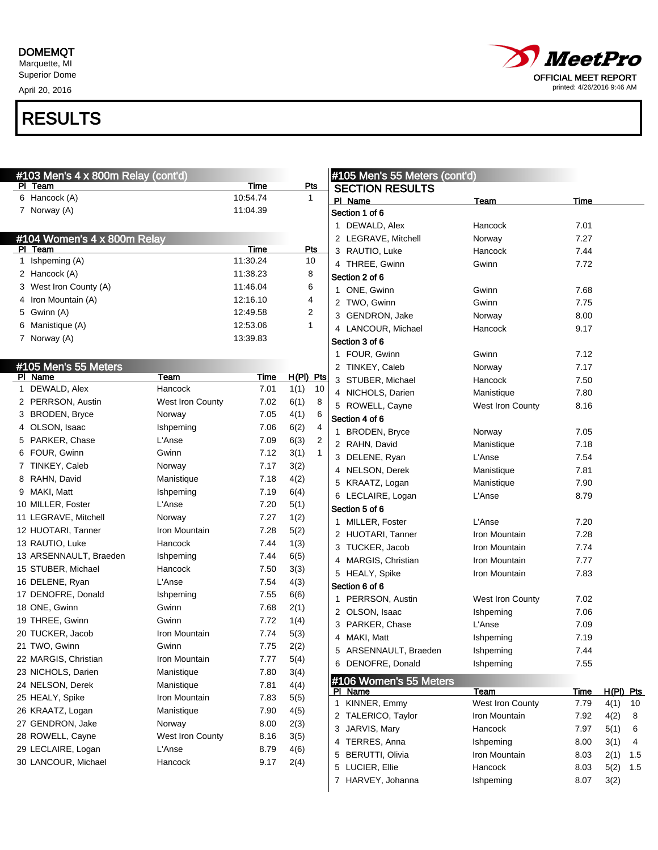April 20, 2016



| #103 Men's 4 x 800m Relay (cont'd) |                  |          |                        |              | #105 Men's 55 Meters (cont'd) |                  |             |            |    |
|------------------------------------|------------------|----------|------------------------|--------------|-------------------------------|------------------|-------------|------------|----|
| PI Team                            |                  | Time     | <u>Pts</u>             |              | <b>SECTION RESULTS</b>        |                  |             |            |    |
| 6 Hancock (A)                      |                  | 10:54.74 | $\mathbf{1}$           |              | PI Name                       | <b>Team</b>      | Time        |            |    |
| 7 Norway (A)                       |                  | 11:04.39 |                        |              | Section 1 of 6                |                  |             |            |    |
|                                    |                  |          |                        |              | 1 DEWALD, Alex                | Hancock          | 7.01        |            |    |
| #104 Women's 4 x 800m Relay        |                  |          |                        |              | 2 LEGRAVE, Mitchell           | Norway           | 7.27        |            |    |
| PI Team                            |                  | Time     | <b>Pts</b>             |              | 3 RAUTIO, Luke                | Hancock          | 7.44        |            |    |
| 1 Ishpeming (A)                    |                  | 11:30.24 | 10                     |              | 4 THREE, Gwinn                | Gwinn            | 7.72        |            |    |
| 2 Hancock (A)                      |                  | 11:38.23 | 8                      |              | Section 2 of 6                |                  |             |            |    |
| 3 West Iron County (A)             |                  | 11:46.04 | 6                      |              | 1 ONE, Gwinn                  | Gwinn            | 7.68        |            |    |
| 4 Iron Mountain (A)                |                  | 12:16.10 | 4                      |              | 2 TWO, Gwinn                  | Gwinn            | 7.75        |            |    |
| 5 Gwinn (A)                        |                  | 12:49.58 | 2                      |              | 3 GENDRON, Jake               | Norway           | 8.00        |            |    |
| 6 Manistique (A)                   |                  | 12:53.06 | $\mathbf{1}$           |              | 4 LANCOUR, Michael            | Hancock          | 9.17        |            |    |
| 7 Norway (A)                       |                  | 13:39.83 |                        |              | Section 3 of 6                |                  |             |            |    |
|                                    |                  |          |                        |              | 1 FOUR, Gwinn                 | Gwinn            | 7.12        |            |    |
| #105 Men's 55 Meters               |                  |          |                        |              | 2 TINKEY, Caleb               | Norway           | 7.17        |            |    |
| PI Name                            | Team             | Time     | H(PI) Pts              |              | 3 STUBER, Michael             | Hancock          | 7.50        |            |    |
| 1 DEWALD, Alex                     | Hancock          | 7.01     | 1(1)<br>10             |              | 4 NICHOLS, Darien             | Manistique       | 7.80        |            |    |
| 2 PERRSON, Austin                  | West Iron County | 7.02     | 6(1)<br>8              |              | 5 ROWELL, Cayne               | West Iron County | 8.16        |            |    |
| 3 BRODEN, Bryce                    | Norway           | 7.05     | 4(1)<br>6              |              | Section 4 of 6                |                  |             |            |    |
| 4 OLSON, Isaac                     | Ishpeming        | 7.06     | 6(2)<br>4              |              | 1 BRODEN, Bryce               | Norway           | 7.05        |            |    |
| 5 PARKER, Chase                    | L'Anse           | 7.09     | 6(3)<br>$\overline{2}$ |              | 2 RAHN, David                 | Manistique       | 7.18        |            |    |
| 6 FOUR, Gwinn                      | Gwinn            | 7.12     | 3(1)<br>$\mathbf{1}$   |              | 3 DELENE, Ryan                | L'Anse           | 7.54        |            |    |
| 7 TINKEY, Caleb                    | Norway           | 7.17     | 3(2)                   |              | 4 NELSON, Derek               | Manistique       | 7.81        |            |    |
| 8 RAHN, David                      | Manistique       | 7.18     | 4(2)                   |              | 5 KRAATZ, Logan               | Manistique       | 7.90        |            |    |
| 9 MAKI, Matt                       | Ishpeming        | 7.19     | 6(4)                   |              | 6 LECLAIRE, Logan             | L'Anse           | 8.79        |            |    |
| 10 MILLER, Foster                  | L'Anse           | 7.20     | 5(1)                   |              | Section 5 of 6                |                  |             |            |    |
| 11 LEGRAVE, Mitchell               | Norway           | 7.27     | 1(2)                   |              | 1 MILLER, Foster              | L'Anse           | 7.20        |            |    |
| 12 HUOTARI, Tanner                 | Iron Mountain    | 7.28     | 5(2)                   |              | 2 HUOTARI, Tanner             | Iron Mountain    | 7.28        |            |    |
| 13 RAUTIO, Luke                    | Hancock          | 7.44     | 1(3)                   |              | 3 TUCKER, Jacob               | Iron Mountain    | 7.74        |            |    |
| 13 ARSENNAULT, Braeden             | Ishpeming        | 7.44     | 6(5)                   |              | 4 MARGIS, Christian           | Iron Mountain    | 7.77        |            |    |
| 15 STUBER, Michael                 | Hancock          | 7.50     | 3(3)                   |              | 5 HEALY, Spike                | Iron Mountain    | 7.83        |            |    |
| 16 DELENE, Ryan                    | L'Anse           | 7.54     | 4(3)                   |              | Section 6 of 6                |                  |             |            |    |
| 17 DENOFRE, Donald                 | Ishpeming        | 7.55     | 6(6)                   |              | 1 PERRSON, Austin             | West Iron County | 7.02        |            |    |
| 18 ONE, Gwinn                      | Gwinn            | 7.68     | 2(1)                   |              | 2 OLSON, Isaac                |                  | 7.06        |            |    |
| 19 THREE, Gwinn                    | Gwinn            | 7.72     | 1(4)                   |              |                               | Ishpeming        |             |            |    |
| 20 TUCKER, Jacob                   | Iron Mountain    | 7.74     | 5(3)                   |              | 3 PARKER, Chase               | L'Anse           | 7.09        |            |    |
| 21 TWO, Gwinn                      | Gwinn            | 7.75     | 2(2)                   |              | 4 MAKI, Matt                  | Ishpeming        | 7.19        |            |    |
| 22 MARGIS, Christian               | Iron Mountain    | 7.77     | 5(4)                   |              | 5 ARSENNAULT, Braeden         | Ishpeming        | 7.44        |            |    |
| 23 NICHOLS, Darien                 | Manistique       | 7.80     | 3(4)                   |              | 6 DENOFRE, Donald             | Ishpeming        | 7.55        |            |    |
| 24 NELSON, Derek                   | Manistique       | 7.81     | 4(4)                   |              | #106 Women's 55 Meters        |                  |             |            |    |
| 25 HEALY, Spike                    | Iron Mountain    | 7.83     | 5(5)                   |              | PI Name                       | <u>Team</u>      | <u>Time</u> | H(PI) Pts  |    |
| 26 KRAATZ, Logan                   | Manistique       | 7.90     | 4(5)                   | $\mathbf{1}$ | KINNER, Emmy                  | West Iron County | 7.79        | 4(1)       | 10 |
| 27 GENDRON, Jake                   | Norway           | 8.00     | 2(3)                   |              | 2 TALERICO, Taylor            | Iron Mountain    | 7.92        | 4(2)       | 8  |
| 28 ROWELL, Cayne                   | West Iron County | 8.16     | 3(5)                   |              | 3 JARVIS, Mary                | Hancock          | 7.97        | 5(1)       | 6  |
| 29 LECLAIRE, Logan                 | L'Anse           | 8.79     | 4(6)                   |              | 4 TERRES, Anna                | Ishpeming        | 8.00        | 3(1)       | 4  |
| 30 LANCOUR, Michael                | Hancock          | 9.17     | 2(4)                   |              | 5 BERUTTI, Olivia             | Iron Mountain    | 8.03        | $2(1)$ 1.5 |    |
|                                    |                  |          |                        |              | 5 LUCIER, Ellie               | Hancock          | 8.03        | $5(2)$ 1.5 |    |
|                                    |                  |          |                        |              | 7 HARVEY, Johanna             | Ishpeming        | 8.07        | 3(2)       |    |
|                                    |                  |          |                        |              |                               |                  |             |            |    |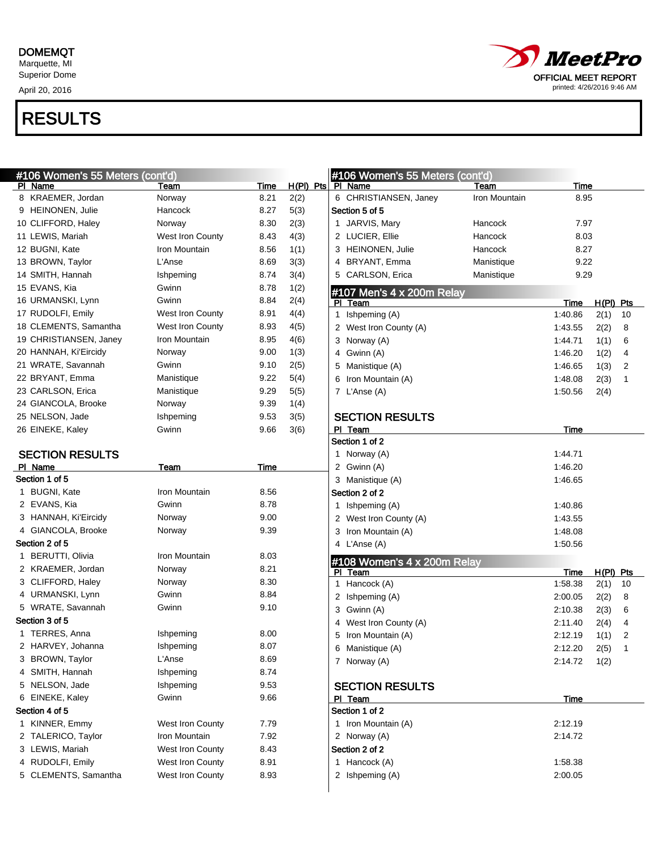April 20, 2016



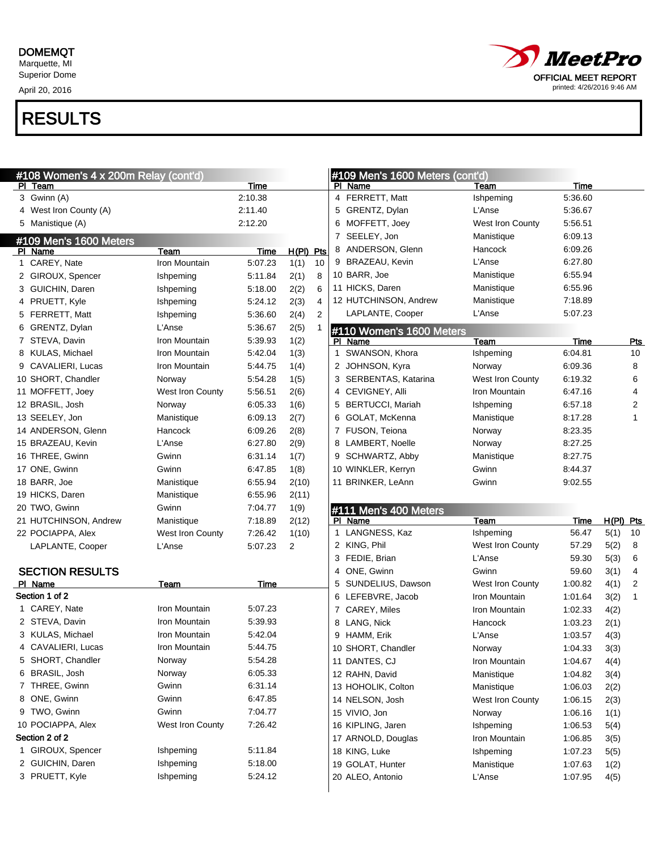April 20, 2016



| #108 Women's 4 x 200m Relay (cont'd) |                  |         |                        | #109 Men's 1600 Meters (cont'd)  |                         |         |           |                |
|--------------------------------------|------------------|---------|------------------------|----------------------------------|-------------------------|---------|-----------|----------------|
| PI Team                              |                  | Time    |                        | PI Name                          | Team                    | Time    |           |                |
| 3 Gwinn (A)                          |                  | 2:10.38 |                        | 4 FERRETT, Matt                  | Ishpeming               | 5:36.60 |           |                |
| 4 West Iron County (A)               |                  | 2:11.40 |                        | 5 GRENTZ, Dylan                  | L'Anse                  | 5:36.67 |           |                |
| 5 Manistique (A)                     |                  | 2:12.20 |                        | 6 MOFFETT, Joey                  | West Iron County        | 5:56.51 |           |                |
| #109 Men's 1600 Meters               |                  |         |                        | 7 SEELEY, Jon                    | Manistique              | 6:09.13 |           |                |
| PI Name                              | Team             | Time    | H(PI) Pts              | 8 ANDERSON, Glenn                | Hancock                 | 6:09.26 |           |                |
| 1 CAREY, Nate                        | Iron Mountain    | 5:07.23 | 1(1)<br>10             | 9 BRAZEAU, Kevin                 | L'Anse                  | 6:27.80 |           |                |
| 2 GIROUX, Spencer                    | Ishpeming        | 5:11.84 | 2(1)<br>8              | 10 BARR, Joe                     | Manistique              | 6:55.94 |           |                |
| 3 GUICHIN, Daren                     | Ishpeming        | 5:18.00 | 2(2)<br>6              | 11 HICKS, Daren                  | Manistique              | 6:55.96 |           |                |
| 4 PRUETT, Kyle                       | Ishpeming        | 5:24.12 | 2(3)<br>4              | 12 HUTCHINSON, Andrew            | Manistique              | 7:18.89 |           |                |
| 5 FERRETT, Matt                      | Ishpeming        | 5:36.60 | 2(4)<br>$\overline{2}$ | LAPLANTE, Cooper                 | L'Anse                  | 5:07.23 |           |                |
| 6 GRENTZ, Dylan                      | L'Anse           | 5:36.67 | 2(5)                   | #110 Women's 1600 Meters         |                         |         |           |                |
| 7 STEVA, Davin                       | Iron Mountain    | 5:39.93 | 1(2)                   | PI Name                          | Team                    | Time    |           | <u>Pts</u>     |
| 8 KULAS, Michael                     | Iron Mountain    | 5:42.04 | 1(3)                   | 1 SWANSON, Khora                 | Ishpeming               | 6:04.81 |           | 10             |
| 9 CAVALIERI, Lucas                   | Iron Mountain    | 5:44.75 | 1(4)                   | 2 JOHNSON, Kyra                  | Norway                  | 6:09.36 |           | 8              |
| 10 SHORT, Chandler                   | Norway           | 5:54.28 | 1(5)                   | 3 SERBENTAS, Katarina            | West Iron County        | 6:19.32 |           | 6              |
| 11 MOFFETT, Joey                     | West Iron County | 5:56.51 | 2(6)                   | 4 CEVIGNEY, Alli                 | Iron Mountain           | 6:47.16 |           | 4              |
| 12 BRASIL, Josh                      | Norway           | 6:05.33 | 1(6)                   | 5 BERTUCCI, Mariah               | Ishpeming               | 6:57.18 |           | $\overline{2}$ |
| 13 SEELEY, Jon                       | Manistique       | 6:09.13 | 2(7)                   | 6 GOLAT, McKenna                 | Manistique              | 8:17.28 |           | 1              |
| 14 ANDERSON, Glenn                   | Hancock          | 6:09.26 | 2(8)                   | 7 FUSON, Teiona                  | Norway                  | 8:23.35 |           |                |
| 15 BRAZEAU, Kevin                    | L'Anse           | 6:27.80 | 2(9)                   | 8 LAMBERT, Noelle                | Norway                  | 8:27.25 |           |                |
| 16 THREE, Gwinn                      | Gwinn            | 6:31.14 | 1(7)                   | 9 SCHWARTZ, Abby                 | Manistique              | 8:27.75 |           |                |
| 17 ONE, Gwinn                        | Gwinn            | 6:47.85 | 1(8)                   | 10 WINKLER, Kerryn               | Gwinn                   | 8:44.37 |           |                |
| 18 BARR, Joe                         | Manistique       | 6:55.94 | 2(10)                  | 11 BRINKER, LeAnn                | Gwinn                   | 9:02.55 |           |                |
|                                      | Manistique       | 6:55.96 | 2(11)                  |                                  |                         |         |           |                |
| 19 HICKS, Daren                      |                  |         |                        |                                  |                         |         |           |                |
| 20 TWO, Gwinn                        | Gwinn            | 7:04.77 | 1(9)                   |                                  |                         |         |           |                |
| 21 HUTCHINSON, Andrew                | Manistique       | 7:18.89 | 2(12)                  | #111 Men's 400 Meters<br>PI Name | Team                    | Time    | H(PI) Pts |                |
| 22 POCIAPPA, Alex                    | West Iron County | 7:26.42 | 1(10)                  | 1 LANGNESS, Kaz                  | Ishpeming               | 56.47   | 5(1)      | 10             |
| LAPLANTE, Cooper                     | L'Anse           | 5:07.23 | 2                      | 2 KING, Phil                     | West Iron County        | 57.29   | 5(2)      | 8              |
|                                      |                  |         |                        | 3 FEDIE, Brian                   | L'Anse                  | 59.30   | 5(3)      | 6              |
| <b>SECTION RESULTS</b>               |                  |         |                        | 4 ONE, Gwinn                     | Gwinn                   | 59.60   | 3(1)      | 4              |
| PI Name                              | Team             | Time    |                        | 5 SUNDELIUS, Dawson              | <b>West Iron County</b> | 1:00.82 | 4(1)      | 2              |
| Section 1 of 2                       |                  |         |                        | 6 LEFEBVRE, Jacob                | Iron Mountain           | 1:01.64 | 3(2)      | 1              |
| 1 CAREY, Nate                        | Iron Mountain    | 5:07.23 |                        | 7 CAREY, Miles                   | Iron Mountain           | 1:02.33 | 4(2)      |                |
| 2 STEVA, Davin                       | Iron Mountain    | 5:39.93 |                        | 8 LANG, Nick                     | Hancock                 | 1:03.23 | 2(1)      |                |
| 3 KULAS, Michael                     | Iron Mountain    | 5:42.04 |                        | 9 HAMM, Erik                     | L'Anse                  | 1:03.57 | 4(3)      |                |
| 4 CAVALIERI, Lucas                   | Iron Mountain    | 5:44.75 |                        | 10 SHORT, Chandler               | Norway                  | 1:04.33 | 3(3)      |                |
| 5 SHORT, Chandler                    | Norway           | 5:54.28 |                        | 11 DANTES, CJ                    | Iron Mountain           | 1:04.67 | 4(4)      |                |
| 6 BRASIL, Josh                       | Norway           | 6:05.33 |                        | 12 RAHN, David                   | Manistique              | 1:04.82 | 3(4)      |                |
| 7 THREE, Gwinn                       | Gwinn            | 6:31.14 |                        | 13 HOHOLIK, Colton               | Manistique              | 1:06.03 | 2(2)      |                |
| 8 ONE, Gwinn                         | Gwinn            | 6:47.85 |                        | 14 NELSON, Josh                  | West Iron County        | 1:06.15 | 2(3)      |                |
| 9 TWO, Gwinn                         | Gwinn            | 7:04.77 |                        | 15 VIVIO, Jon                    | Norway                  | 1:06.16 | 1(1)      |                |
| 10 POCIAPPA, Alex                    | West Iron County | 7:26.42 |                        | 16 KIPLING, Jaren                | Ishpeming               | 1:06.53 | 5(4)      |                |
| Section 2 of 2                       |                  |         |                        | 17 ARNOLD, Douglas               | Iron Mountain           | 1:06.85 | 3(5)      |                |
| 1 GIROUX, Spencer                    | Ishpeming        | 5:11.84 |                        | 18 KING, Luke                    | Ishpeming               | 1:07.23 | 5(5)      |                |
| 2 GUICHIN, Daren                     | Ishpeming        | 5:18.00 |                        | 19 GOLAT, Hunter                 | Manistique              | 1:07.63 | 1(2)      |                |
| 3 PRUETT, Kyle                       | Ishpeming        | 5:24.12 |                        | 20 ALEO, Antonio                 | L'Anse                  | 1:07.95 | 4(5)      |                |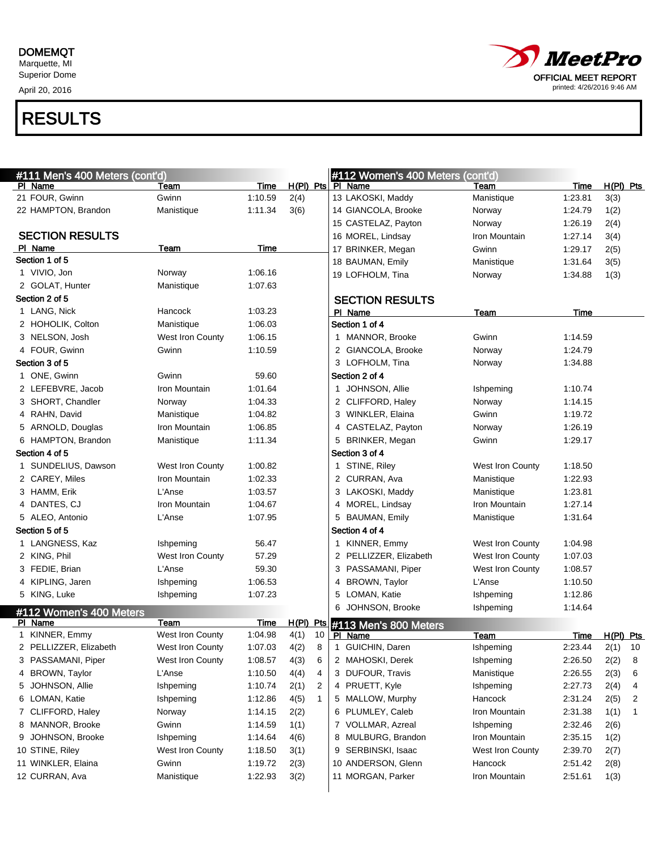April 20, 2016



| #111 Men's 400 Meters (cont'd)     |                  |         |      |    | #112 Women's 400 Meters (cont'd)             |                  |         |                |              |
|------------------------------------|------------------|---------|------|----|----------------------------------------------|------------------|---------|----------------|--------------|
| PI Name                            | Team             | Time    |      |    | $H(PI)$ Pts $\overline{PI}$ Name             | Team             | Time    | $H(PI)$ Pts    |              |
| 21 FOUR, Gwinn                     | Gwinn            | 1:10.59 | 2(4) |    | 13 LAKOSKI, Maddy                            | Manistique       | 1:23.81 | 3(3)           |              |
| 22 HAMPTON, Brandon                | Manistique       | 1:11.34 | 3(6) |    | 14 GIANCOLA, Brooke                          | Norway           | 1:24.79 | 1(2)           |              |
|                                    |                  |         |      |    | 15 CASTELAZ, Payton                          | Norway           | 1:26.19 | 2(4)           |              |
| <b>SECTION RESULTS</b>             |                  |         |      |    | 16 MOREL, Lindsay                            | Iron Mountain    | 1:27.14 | 3(4)           |              |
| PI Name                            | Team             | Time    |      |    | 17 BRINKER, Megan                            | Gwinn            | 1:29.17 | 2(5)           |              |
| Section 1 of 5                     |                  |         |      |    | 18 BAUMAN, Emily                             | Manistique       | 1:31.64 | 3(5)           |              |
| 1 VIVIO, Jon                       | Norway           | 1:06.16 |      |    | 19 LOFHOLM, Tina                             | Norway           | 1:34.88 | 1(3)           |              |
| 2 GOLAT, Hunter                    | Manistique       | 1:07.63 |      |    |                                              |                  |         |                |              |
| Section 2 of 5                     |                  |         |      |    | <b>SECTION RESULTS</b>                       |                  |         |                |              |
| 1 LANG, Nick                       | Hancock          | 1:03.23 |      |    | PI Name                                      | Team             | Time    |                |              |
| 2 HOHOLIK, Colton                  | Manistique       | 1:06.03 |      |    | Section 1 of 4                               |                  |         |                |              |
| 3 NELSON, Josh                     | West Iron County | 1:06.15 |      |    | 1 MANNOR, Brooke                             | Gwinn            | 1:14.59 |                |              |
| 4 FOUR, Gwinn                      | Gwinn            | 1:10.59 |      |    | 2 GIANCOLA, Brooke                           | Norway           | 1:24.79 |                |              |
| Section 3 of 5                     |                  |         |      |    | 3 LOFHOLM, Tina                              | Norway           | 1:34.88 |                |              |
| 1 ONE, Gwinn                       | Gwinn            | 59.60   |      |    | Section 2 of 4                               |                  |         |                |              |
| 2 LEFEBVRE, Jacob                  | Iron Mountain    | 1:01.64 |      |    | 1 JOHNSON, Allie                             | Ishpeming        | 1:10.74 |                |              |
| 3 SHORT, Chandler                  | Norway           | 1:04.33 |      |    | 2 CLIFFORD, Haley                            | Norway           | 1:14.15 |                |              |
| 4 RAHN, David                      | Manistique       | 1:04.82 |      |    | 3 WINKLER, Elaina                            | Gwinn            | 1:19.72 |                |              |
| 5 ARNOLD, Douglas                  | Iron Mountain    | 1:06.85 |      |    | 4 CASTELAZ, Payton                           | Norway           | 1:26.19 |                |              |
| 6 HAMPTON, Brandon                 | Manistique       | 1:11.34 |      |    | 5 BRINKER, Megan                             | Gwinn            | 1:29.17 |                |              |
| Section 4 of 5                     |                  |         |      |    | Section 3 of 4                               |                  |         |                |              |
| 1 SUNDELIUS, Dawson                | West Iron County | 1:00.82 |      |    | 1 STINE, Riley                               | West Iron County | 1:18.50 |                |              |
| 2 CAREY, Miles                     | Iron Mountain    | 1:02.33 |      |    | 2 CURRAN, Ava                                | Manistique       | 1:22.93 |                |              |
| 3 HAMM, Erik                       | L'Anse           | 1:03.57 |      |    | 3 LAKOSKI, Maddy                             | Manistique       | 1:23.81 |                |              |
| 4 DANTES, CJ                       | Iron Mountain    | 1:04.67 |      |    | 4 MOREL, Lindsay                             | Iron Mountain    | 1:27.14 |                |              |
| 5 ALEO, Antonio                    | L'Anse           | 1:07.95 |      |    | 5 BAUMAN, Emily                              | Manistique       | 1:31.64 |                |              |
| Section 5 of 5                     |                  |         |      |    | Section 4 of 4                               |                  |         |                |              |
| 1 LANGNESS, Kaz                    | <b>Ishpeming</b> | 56.47   |      |    | 1 KINNER, Emmy                               | West Iron County | 1:04.98 |                |              |
| 2 KING, Phil                       | West Iron County | 57.29   |      |    | 2 PELLIZZER, Elizabeth                       | West Iron County | 1:07.03 |                |              |
| 3 FEDIE, Brian                     | L'Anse           | 59.30   |      |    | 3 PASSAMANI, Piper                           | West Iron County | 1:08.57 |                |              |
| 4 KIPLING, Jaren                   | Ishpeming        | 1:06.53 |      |    | 4 BROWN, Taylor                              | L'Anse           | 1:10.50 |                |              |
| 5 KING, Luke                       | Ishpeming        | 1:07.23 |      |    | 5 LOMAN, Katie                               | Ishpeming        | 1:12.86 |                |              |
|                                    |                  |         |      |    | 6 JOHNSON, Brooke                            | Ishpeming        | 1:14.64 |                |              |
| #112 Women's 400 Meters<br>PI Name | Team             | Time    |      |    |                                              |                  |         |                |              |
| 1 KINNER, Emmy                     | West Iron County | 1:04.98 | 4(1) | 10 | $H(PI)$ Pts #113 Men's 800 Meters<br>PI Name | Team             |         | Time H(PI) Pts |              |
| 2 PELLIZZER, Elizabeth             | West Iron County | 1:07.03 | 4(2) | 8  | 1 GUICHIN, Daren                             | Ishpeming        | 2:23.44 | 2(1)           | 10           |
| 3 PASSAMANI, Piper                 | West Iron County | 1:08.57 | 4(3) | 6  | 2 MAHOSKI, Derek                             | Ishpeming        | 2:26.50 | 2(2)           | 8            |
| 4 BROWN, Taylor                    | L'Anse           | 1:10.50 | 4(4) | 4  | 3 DUFOUR, Travis                             | Manistique       | 2:26.55 | 2(3)           | 6            |
| 5 JOHNSON, Allie                   | Ishpeming        | 1:10.74 | 2(1) | 2  | 4 PRUETT, Kyle                               | Ishpeming        | 2:27.73 |                | 4            |
|                                    |                  |         |      |    | 5 MALLOW, Murphy                             | Hancock          |         | 2(4)           |              |
| 6 LOMAN, Katie                     | Ishpeming        | 1:12.86 | 4(5) | 1  |                                              |                  | 2:31.24 | 2(5)           | 2            |
| 7 CLIFFORD, Haley                  | Norway           | 1:14.15 | 2(2) |    | 6 PLUMLEY, Caleb                             | Iron Mountain    | 2:31.38 | 1(1)           | $\mathbf{1}$ |
| 8 MANNOR, Brooke                   | Gwinn            | 1:14.59 | 1(1) |    | 7 VOLLMAR, Azreal                            | Ishpeming        | 2:32.46 | 2(6)           |              |
| 9 JOHNSON, Brooke                  | Ishpeming        | 1:14.64 | 4(6) |    | 8 MULBURG, Brandon                           | Iron Mountain    | 2:35.15 | 1(2)           |              |
| 10 STINE, Riley                    | West Iron County | 1:18.50 | 3(1) |    | 9 SERBINSKI, Isaac                           | West Iron County | 2:39.70 | 2(7)           |              |
| 11 WINKLER, Elaina                 | Gwinn            | 1:19.72 | 2(3) |    | 10 ANDERSON, Glenn                           | Hancock          | 2:51.42 | 2(8)           |              |
| 12 CURRAN, Ava                     | Manistique       | 1:22.93 | 3(2) |    | 11 MORGAN, Parker                            | Iron Mountain    | 2:51.61 | 1(3)           |              |
|                                    |                  |         |      |    |                                              |                  |         |                |              |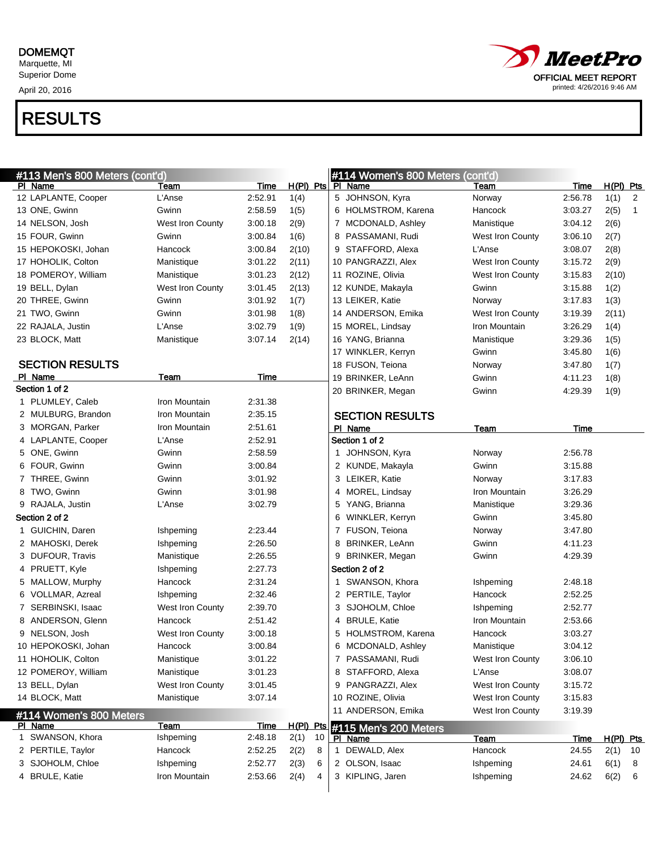#### DOMEMQT

Marquette, MI Superior Dome

April 20, 2016

### *MeetPro* OFFICIAL MEET REPORT printed: 4/26/2016 9:46 AM

| #113 Men's 800 Meters (cont'd)     |                  |             |           |    |              | #114 Women's 800 Meters (cont'd) |                         |         |             |                |
|------------------------------------|------------------|-------------|-----------|----|--------------|----------------------------------|-------------------------|---------|-------------|----------------|
| PI Name                            | Team             | Time        |           |    |              | H(PI) Pts PI Name                | Team                    | Time    | H(PI) Pts   |                |
| 12 LAPLANTE, Cooper                | L'Anse           | 2:52.91     | 1(4)      |    |              | 5 JOHNSON, Kyra                  | Norway                  | 2:56.78 | 1(1)        | 2              |
| 13 ONE, Gwinn                      | Gwinn            | 2:58.59     | 1(5)      |    |              | 6 HOLMSTROM, Karena              | Hancock                 | 3:03.27 | 2(5)        | $\overline{1}$ |
| 14 NELSON, Josh                    | West Iron County | 3:00.18     | 2(9)      |    |              | 7 MCDONALD, Ashley               | Manistique              | 3:04.12 | 2(6)        |                |
| 15 FOUR, Gwinn                     | Gwinn            | 3:00.84     | 1(6)      |    |              | 8 PASSAMANI, Rudi                | <b>West Iron County</b> | 3:06.10 | 2(7)        |                |
| 15 HEPOKOSKI, Johan                | Hancock          | 3:00.84     | 2(10)     |    |              | 9 STAFFORD, Alexa                | L'Anse                  | 3:08.07 | 2(8)        |                |
| 17 HOHOLIK, Colton                 | Manistique       | 3:01.22     | 2(11)     |    |              | 10 PANGRAZZI, Alex               | West Iron County        | 3:15.72 | 2(9)        |                |
| 18 POMEROY, William                | Manistique       | 3:01.23     | 2(12)     |    |              | 11 ROZINE, Olivia                | <b>West Iron County</b> | 3:15.83 | 2(10)       |                |
| 19 BELL, Dylan                     | West Iron County | 3:01.45     | 2(13)     |    |              | 12 KUNDE, Makayla                | Gwinn                   | 3:15.88 | 1(2)        |                |
| 20 THREE, Gwinn                    | Gwinn            | 3:01.92     | 1(7)      |    |              | 13 LEIKER, Katie                 | Norway                  | 3:17.83 | 1(3)        |                |
| 21 TWO, Gwinn                      | Gwinn            | 3:01.98     | 1(8)      |    |              | 14 ANDERSON, Emika               | <b>West Iron County</b> | 3:19.39 | 2(11)       |                |
| 22 RAJALA, Justin                  | L'Anse           | 3:02.79     | 1(9)      |    |              | 15 MOREL, Lindsay                | Iron Mountain           | 3:26.29 | 1(4)        |                |
| 23 BLOCK, Matt                     | Manistique       | 3:07.14     | 2(14)     |    |              | 16 YANG, Brianna                 | Manistique              | 3:29.36 | 1(5)        |                |
|                                    |                  |             |           |    |              | 17 WINKLER, Kerryn               | Gwinn                   | 3:45.80 | 1(6)        |                |
| <b>SECTION RESULTS</b>             |                  |             |           |    |              | 18 FUSON, Teiona                 | Norway                  | 3:47.80 | 1(7)        |                |
| PI Name                            | Team             | Time        |           |    |              | 19 BRINKER, LeAnn                | Gwinn                   | 4:11.23 | 1(8)        |                |
| Section 1 of 2                     |                  |             |           |    |              | 20 BRINKER, Megan                | Gwinn                   | 4:29.39 | 1(9)        |                |
| 1 PLUMLEY, Caleb                   | Iron Mountain    | 2:31.38     |           |    |              |                                  |                         |         |             |                |
| 2 MULBURG, Brandon                 | Iron Mountain    | 2:35.15     |           |    |              | <b>SECTION RESULTS</b>           |                         |         |             |                |
| 3 MORGAN, Parker                   | Iron Mountain    | 2:51.61     |           |    |              | PI Name                          | Team                    | Time    |             |                |
| 4 LAPLANTE, Cooper                 | L'Anse           | 2:52.91     |           |    |              | Section 1 of 2                   |                         |         |             |                |
| 5 ONE, Gwinn                       | Gwinn            | 2:58.59     |           |    |              | 1 JOHNSON, Kyra                  | Norway                  | 2:56.78 |             |                |
| 6 FOUR, Gwinn                      | Gwinn            | 3:00.84     |           |    |              | 2 KUNDE, Makayla                 | Gwinn                   | 3:15.88 |             |                |
| 7 THREE, Gwinn                     | Gwinn            | 3:01.92     |           |    |              | 3 LEIKER, Katie                  | Norway                  | 3:17.83 |             |                |
| 8 TWO, Gwinn                       | Gwinn            | 3:01.98     |           |    |              | 4 MOREL, Lindsay                 | Iron Mountain           | 3:26.29 |             |                |
| 9 RAJALA, Justin                   | L'Anse           | 3:02.79     |           |    |              | 5 YANG, Brianna                  | Manistique              | 3:29.36 |             |                |
| Section 2 of 2                     |                  |             |           |    |              | 6 WINKLER, Kerryn                | Gwinn                   | 3:45.80 |             |                |
| 1 GUICHIN, Daren                   | Ishpeming        | 2:23.44     |           |    |              | 7 FUSON, Teiona                  | Norway                  | 3:47.80 |             |                |
| 2 MAHOSKI, Derek                   | Ishpeming        | 2:26.50     |           |    |              | 8 BRINKER, LeAnn                 | Gwinn                   | 4:11.23 |             |                |
| 3 DUFOUR, Travis                   | Manistique       | 2:26.55     |           |    |              | 9 BRINKER, Megan                 | Gwinn                   | 4:29.39 |             |                |
| 4 PRUETT, Kyle                     | Ishpeming        | 2:27.73     |           |    |              | Section 2 of 2                   |                         |         |             |                |
| 5 MALLOW, Murphy                   | Hancock          | 2:31.24     |           |    | $\mathbf 1$  | SWANSON, Khora                   | Ishpeming               | 2:48.18 |             |                |
| 6 VOLLMAR, Azreal                  | Ishpeming        | 2:32.46     |           |    |              | 2 PERTILE, Taylor                | Hancock                 | 2:52.25 |             |                |
| 7 SERBINSKI, Isaac                 | West Iron County | 2:39.70     |           |    |              | 3 SJOHOLM, Chloe                 | Ishpeming               | 2:52.77 |             |                |
| 8 ANDERSON, Glenn                  | Hancock          | 2:51.42     |           |    |              | 4 BRULE, Katie                   | Iron Mountain           | 2:53.66 |             |                |
| 9 NELSON, Josh                     | West Iron County | 3:00.18     |           |    | 5            | <b>HOLMSTROM, Karena</b>         | Hancock                 | 3:03.27 |             |                |
| 10 HEPOKOSKI, Johan                | Hancock          | 3:00.84     |           |    | 6            | MCDONALD, Ashley                 | Manistique              | 3:04.12 |             |                |
| 11 HOHOLIK, Colton                 | Manistique       | 3:01.22     |           |    |              | 7 PASSAMANI, Rudi                | West Iron County        | 3:06.10 |             |                |
| 12 POMEROY, William                | Manistique       | 3:01.23     |           |    |              | 8 STAFFORD, Alexa                | L'Anse                  | 3:08.07 |             |                |
| 13 BELL, Dylan                     | West Iron County | 3:01.45     |           |    |              | 9 PANGRAZZI, Alex                | West Iron County        | 3:15.72 |             |                |
| 14 BLOCK, Matt                     | Manistique       | 3:07.14     |           |    |              | 10 ROZINE, Olivia                | West Iron County        | 3:15.83 |             |                |
|                                    |                  |             |           |    |              | 11 ANDERSON, Emika               | West Iron County        | 3:19.39 |             |                |
| #114 Women's 800 Meters<br>PI Name | Team             | <b>Time</b> | H(PI) Pts |    |              |                                  |                         |         |             |                |
| SWANSON, Khora<br>1                | Ishpeming        | 2:48.18     | 2(1)      | 10 |              | #115 Men's 200 Meters<br>PI Name | <b>Team</b>             | Time    | $H(PI)$ Pts |                |
| 2 PERTILE, Taylor                  | Hancock          | 2:52.25     | 2(2)      | 8  | $\mathbf{1}$ | DEWALD, Alex                     | Hancock                 | 24.55   | 2(1)        | 10             |
| 3 SJOHOLM, Chloe                   | Ishpeming        | 2:52.77     | 2(3)      | 6  |              | 2 OLSON, Isaac                   | Ishpeming               | 24.61   | 6(1)        | 8              |
| 4 BRULE, Katie                     | Iron Mountain    | 2:53.66     | 2(4)      | 4  |              | 3 KIPLING, Jaren                 | Ishpeming               | 24.62   | 6(2)        | 6              |
|                                    |                  |             |           |    |              |                                  |                         |         |             |                |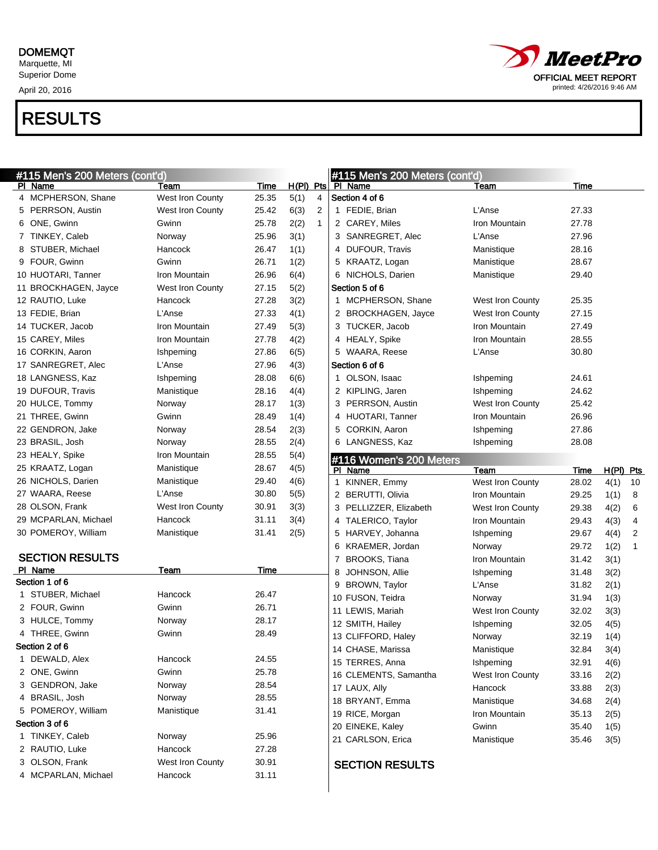April 20, 2016



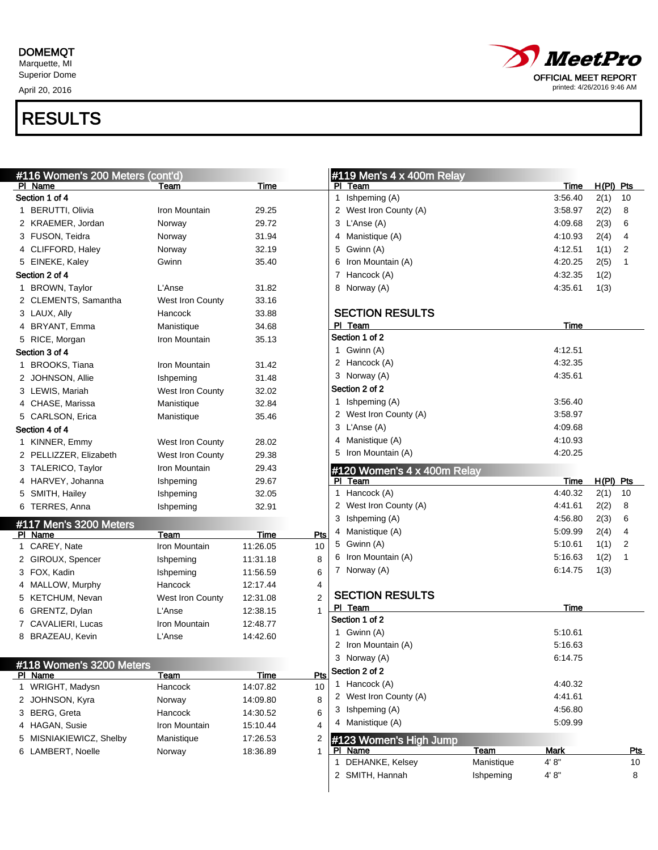April 20, 2016



| #116 Women's 200 Meters (cont'd)  |                         |             |                |   | #119 Men's $4 \times 400$ m Relay |            |                 |             |            |
|-----------------------------------|-------------------------|-------------|----------------|---|-----------------------------------|------------|-----------------|-------------|------------|
| PI Name<br>Section 1 of 4         | Team                    | Time        |                |   | PI Team                           |            | Time<br>3:56.40 | $H(PI)$ Pts |            |
|                                   |                         |             |                |   | 1 Ishpeming (A)                   |            |                 | 2(1)        | 10         |
| 1 BERUTTI, Olivia                 | Iron Mountain           | 29.25       |                |   | 2 West Iron County (A)            |            | 3:58.97         | 2(2)        | 8          |
| 2 KRAEMER, Jordan                 | Norway                  | 29.72       |                |   | 3 L'Anse (A)                      |            | 4:09.68         | 2(3)        | 6          |
| 3 FUSON, Teidra                   | Norway                  | 31.94       |                |   | 4 Manistique (A)                  |            | 4:10.93         | 2(4)        | 4          |
| 4 CLIFFORD, Haley                 | Norway                  | 32.19       |                |   | 5 Gwinn (A)                       |            | 4:12.51         | 1(1)        | 2          |
| 5 EINEKE, Kaley                   | Gwinn                   | 35.40       |                | 6 | Iron Mountain (A)                 |            | 4:20.25         | 2(5)        | 1          |
| Section 2 of 4                    |                         |             |                |   | 7 Hancock (A)                     |            | 4:32.35         | 1(2)        |            |
| 1 BROWN, Taylor                   | L'Anse                  | 31.82       |                |   | 8 Norway (A)                      |            | 4:35.61         | 1(3)        |            |
| 2 CLEMENTS, Samantha              | West Iron County        | 33.16       |                |   |                                   |            |                 |             |            |
| 3 LAUX, Ally                      | Hancock                 | 33.88       |                |   | <b>SECTION RESULTS</b>            |            |                 |             |            |
| 4 BRYANT, Emma                    | Manistique              | 34.68       |                |   | PI Team                           |            | Time            |             |            |
| 5 RICE, Morgan                    | Iron Mountain           | 35.13       |                |   | Section 1 of 2                    |            |                 |             |            |
| Section 3 of 4                    |                         |             |                |   | 1 Gwinn (A)                       |            | 4:12.51         |             |            |
| 1 BROOKS, Tiana                   | Iron Mountain           | 31.42       |                |   | 2 Hancock (A)                     |            | 4:32.35         |             |            |
| 2 JOHNSON, Allie                  | Ishpeming               | 31.48       |                |   | 3 Norway (A)                      |            | 4:35.61         |             |            |
| 3 LEWIS, Mariah                   | West Iron County        | 32.02       |                |   | Section 2 of 2                    |            |                 |             |            |
| 4 CHASE, Marissa                  | Manistique              | 32.84       |                |   | 1 Ishpeming (A)                   |            | 3:56.40         |             |            |
| 5 CARLSON, Erica                  | Manistique              | 35.46       |                |   | 2 West Iron County (A)            |            | 3:58.97         |             |            |
| Section 4 of 4                    |                         |             |                |   | 3 L'Anse (A)                      |            | 4:09.68         |             |            |
| 1 KINNER, Emmy                    | West Iron County        | 28.02       |                |   | 4 Manistique (A)                  |            | 4:10.93         |             |            |
| 2 PELLIZZER, Elizabeth            | <b>West Iron County</b> | 29.38       |                |   | 5 Iron Mountain (A)               |            | 4:20.25         |             |            |
| 3 TALERICO, Taylor                | Iron Mountain           | 29.43       |                |   | #120 Women's 4 x 400m Relay       |            |                 |             |            |
| 4 HARVEY, Johanna                 | Ishpeming               | 29.67       |                |   | PI Team                           |            | Time            | $H(PI)$ Pts |            |
| 5 SMITH, Hailey                   | Ishpeming               | 32.05       |                |   | 1 Hancock (A)                     |            | 4:40.32         | 2(1)        | 10         |
| 6 TERRES, Anna                    | Ishpeming               | 32.91       |                |   | 2 West Iron County (A)            |            | 4:41.61         | 2(2)        | 8          |
|                                   |                         |             |                |   | 3 Ishpeming (A)                   |            | 4:56.80         | 2(3)        | 6          |
| #117 Men's 3200 Meters<br>PI Name | Team                    | <b>Time</b> | Pts            |   | 4 Manistique (A)                  |            | 5:09.99         | 2(4)        | 4          |
| 1 CAREY, Nate                     | Iron Mountain           | 11:26.05    | 10             |   | 5 Gwinn (A)                       |            | 5:10.61         | 1(1)        | 2          |
| 2 GIROUX, Spencer                 | Ishpeming               | 11:31.18    | 8              |   | 6 Iron Mountain (A)               |            | 5:16.63         | 1(2)        | 1          |
| 3 FOX, Kadin                      | Ishpeming               | 11:56.59    | 6              |   | 7 Norway (A)                      |            | 6:14.75         | 1(3)        |            |
| 4 MALLOW, Murphy                  | Hancock                 | 12:17.44    | 4              |   |                                   |            |                 |             |            |
| 5 KETCHUM, Nevan                  | West Iron County        | 12:31.08    | $\overline{2}$ |   | <b>SECTION RESULTS</b>            |            |                 |             |            |
| 6 GRENTZ, Dylan                   | L'Anse                  | 12:38.15    | 1              |   | PI Team                           |            | Time            |             |            |
| 7 CAVALIERI, Lucas                | Iron Mountain           | 12:48.77    |                |   | Section 1 of 2                    |            |                 |             |            |
| 8 BRAZEAU, Kevin                  | L'Anse                  | 14:42.60    |                |   | 1 Gwinn (A)                       |            | 5.10.61         |             |            |
|                                   |                         |             |                |   | 2 Iron Mountain (A)               |            | 5:16.63         |             |            |
|                                   |                         |             |                |   | 3 Norway (A)                      |            | 6:14.75         |             |            |
| #118 Women's 3200 Meters          |                         |             |                |   | Section 2 of 2                    |            |                 |             |            |
| PI Name                           | Team                    | Time        | Pts            |   | 1 Hancock (A)                     |            | 4:40.32         |             |            |
| 1 WRIGHT, Madysn                  | Hancock                 | 14:07.82    | 10             |   | 2 West Iron County (A)            |            | 4:41.61         |             |            |
| 2 JOHNSON, Kyra                   | Norway                  | 14:09.80    | 8              |   | 3 Ishpeming (A)                   |            | 4:56.80         |             |            |
| 3 BERG, Greta                     | Hancock                 | 14:30.52    | 6              |   | 4 Manistique (A)                  |            | 5:09.99         |             |            |
| 4 HAGAN, Susie                    | Iron Mountain           | 15:10.44    | 4              |   |                                   |            |                 |             |            |
| 5 MISNIAKIEWICZ, Shelby           | Manistique              | 17:26.53    | 2              |   | #123 Women's High Jump            |            |                 |             |            |
| 6 LAMBERT, Noelle                 | Norway                  | 18:36.89    | $\mathbf{1}$   |   | PI Name                           | Team       | <b>Mark</b>     |             | <u>Pts</u> |
|                                   |                         |             |                |   | 1 DEHANKE, Kelsey                 | Manistique | 4' 8''          |             | 10         |
|                                   |                         |             |                |   | 2 SMITH, Hannah                   | Ishpeming  | 4' 8"           |             | 8          |